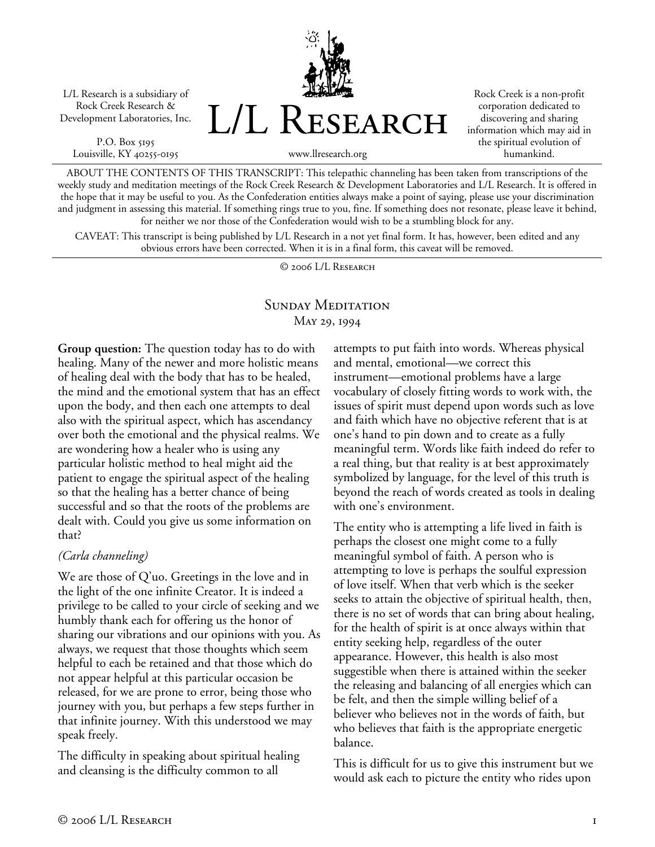L/L Research is a subsidiary of Rock Creek Research & Development Laboratories, Inc.

P.O. Box 5195 Louisville, KY 40255-0195



Rock Creek is a non-profit corporation dedicated to discovering and sharing information which may aid in the spiritual evolution of humankind.

ABOUT THE CONTENTS OF THIS TRANSCRIPT: This telepathic channeling has been taken from transcriptions of the weekly study and meditation meetings of the Rock Creek Research & Development Laboratories and L/L Research. It is offered in the hope that it may be useful to you. As the Confederation entities always make a point of saying, please use your discrimination and judgment in assessing this material. If something rings true to you, fine. If something does not resonate, please leave it behind, for neither we nor those of the Confederation would wish to be a stumbling block for any.

CAVEAT: This transcript is being published by L/L Research in a not yet final form. It has, however, been edited and any obvious errors have been corrected. When it is in a final form, this caveat will be removed.

© 2006 L/L Research

## SUNDAY MEDITATION May 29, 1994

**Group question:** The question today has to do with healing. Many of the newer and more holistic means of healing deal with the body that has to be healed, the mind and the emotional system that has an effect upon the body, and then each one attempts to deal also with the spiritual aspect, which has ascendancy over both the emotional and the physical realms. We are wondering how a healer who is using any particular holistic method to heal might aid the patient to engage the spiritual aspect of the healing so that the healing has a better chance of being successful and so that the roots of the problems are dealt with. Could you give us some information on that?

#### *(Carla channeling)*

We are those of Q'uo. Greetings in the love and in the light of the one infinite Creator. It is indeed a privilege to be called to your circle of seeking and we humbly thank each for offering us the honor of sharing our vibrations and our opinions with you. As always, we request that those thoughts which seem helpful to each be retained and that those which do not appear helpful at this particular occasion be released, for we are prone to error, being those who journey with you, but perhaps a few steps further in that infinite journey. With this understood we may speak freely.

The difficulty in speaking about spiritual healing and cleansing is the difficulty common to all

attempts to put faith into words. Whereas physical and mental, emotional—we correct this instrument—emotional problems have a large vocabulary of closely fitting words to work with, the issues of spirit must depend upon words such as love and faith which have no objective referent that is at one's hand to pin down and to create as a fully meaningful term. Words like faith indeed do refer to a real thing, but that reality is at best approximately symbolized by language, for the level of this truth is beyond the reach of words created as tools in dealing with one's environment.

The entity who is attempting a life lived in faith is perhaps the closest one might come to a fully meaningful symbol of faith. A person who is attempting to love is perhaps the soulful expression of love itself. When that verb which is the seeker seeks to attain the objective of spiritual health, then, there is no set of words that can bring about healing, for the health of spirit is at once always within that entity seeking help, regardless of the outer appearance. However, this health is also most suggestible when there is attained within the seeker the releasing and balancing of all energies which can be felt, and then the simple willing belief of a believer who believes not in the words of faith, but who believes that faith is the appropriate energetic balance.

This is difficult for us to give this instrument but we would ask each to picture the entity who rides upon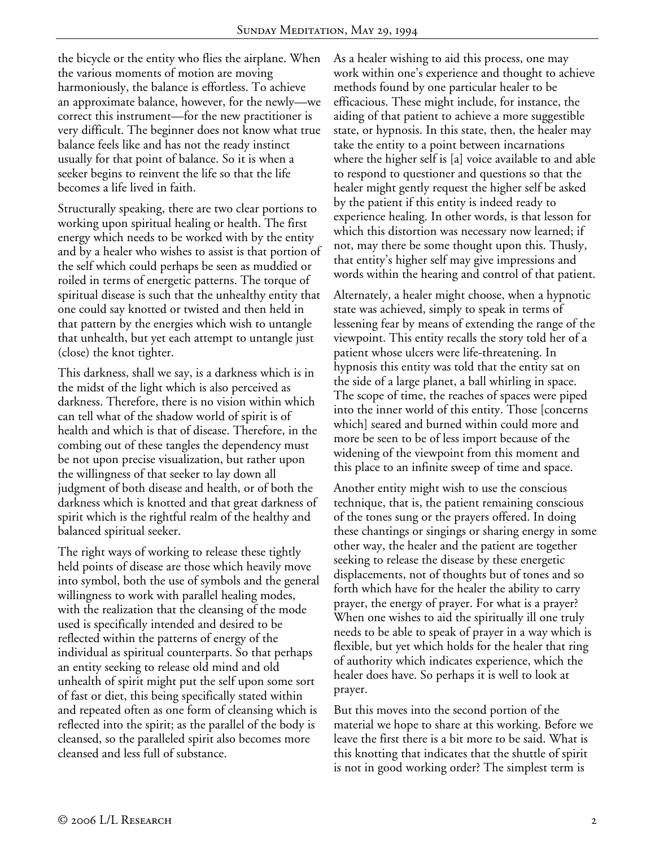the bicycle or the entity who flies the airplane. When the various moments of motion are moving harmoniously, the balance is effortless. To achieve an approximate balance, however, for the newly—we correct this instrument—for the new practitioner is very difficult. The beginner does not know what true balance feels like and has not the ready instinct usually for that point of balance. So it is when a seeker begins to reinvent the life so that the life becomes a life lived in faith.

Structurally speaking, there are two clear portions to working upon spiritual healing or health. The first energy which needs to be worked with by the entity and by a healer who wishes to assist is that portion of the self which could perhaps be seen as muddied or roiled in terms of energetic patterns. The torque of spiritual disease is such that the unhealthy entity that one could say knotted or twisted and then held in that pattern by the energies which wish to untangle that unhealth, but yet each attempt to untangle just (close) the knot tighter.

This darkness, shall we say, is a darkness which is in the midst of the light which is also perceived as darkness. Therefore, there is no vision within which can tell what of the shadow world of spirit is of health and which is that of disease. Therefore, in the combing out of these tangles the dependency must be not upon precise visualization, but rather upon the willingness of that seeker to lay down all judgment of both disease and health, or of both the darkness which is knotted and that great darkness of spirit which is the rightful realm of the healthy and balanced spiritual seeker.

The right ways of working to release these tightly held points of disease are those which heavily move into symbol, both the use of symbols and the general willingness to work with parallel healing modes, with the realization that the cleansing of the mode used is specifically intended and desired to be reflected within the patterns of energy of the individual as spiritual counterparts. So that perhaps an entity seeking to release old mind and old unhealth of spirit might put the self upon some sort of fast or diet, this being specifically stated within and repeated often as one form of cleansing which is reflected into the spirit; as the parallel of the body is cleansed, so the paralleled spirit also becomes more cleansed and less full of substance.

As a healer wishing to aid this process, one may work within one's experience and thought to achieve methods found by one particular healer to be efficacious. These might include, for instance, the aiding of that patient to achieve a more suggestible state, or hypnosis. In this state, then, the healer may take the entity to a point between incarnations where the higher self is [a] voice available to and able to respond to questioner and questions so that the healer might gently request the higher self be asked by the patient if this entity is indeed ready to experience healing. In other words, is that lesson for which this distortion was necessary now learned; if not, may there be some thought upon this. Thusly, that entity's higher self may give impressions and words within the hearing and control of that patient.

Alternately, a healer might choose, when a hypnotic state was achieved, simply to speak in terms of lessening fear by means of extending the range of the viewpoint. This entity recalls the story told her of a patient whose ulcers were life-threatening. In hypnosis this entity was told that the entity sat on the side of a large planet, a ball whirling in space. The scope of time, the reaches of spaces were piped into the inner world of this entity. Those [concerns which] seared and burned within could more and more be seen to be of less import because of the widening of the viewpoint from this moment and this place to an infinite sweep of time and space.

Another entity might wish to use the conscious technique, that is, the patient remaining conscious of the tones sung or the prayers offered. In doing these chantings or singings or sharing energy in some other way, the healer and the patient are together seeking to release the disease by these energetic displacements, not of thoughts but of tones and so forth which have for the healer the ability to carry prayer, the energy of prayer. For what is a prayer? When one wishes to aid the spiritually ill one truly needs to be able to speak of prayer in a way which is flexible, but yet which holds for the healer that ring of authority which indicates experience, which the healer does have. So perhaps it is well to look at prayer.

But this moves into the second portion of the material we hope to share at this working. Before we leave the first there is a bit more to be said. What is this knotting that indicates that the shuttle of spirit is not in good working order? The simplest term is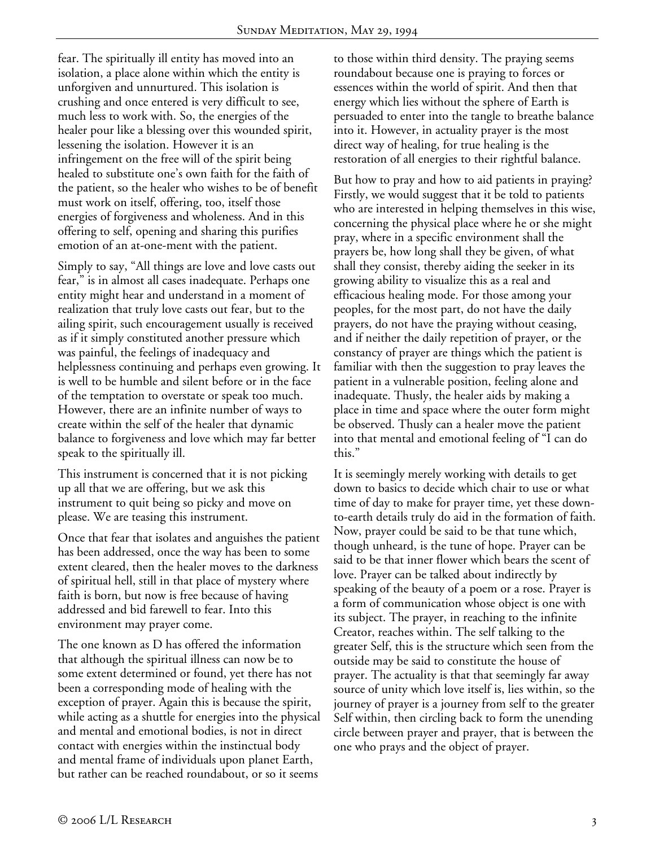fear. The spiritually ill entity has moved into an isolation, a place alone within which the entity is unforgiven and unnurtured. This isolation is crushing and once entered is very difficult to see, much less to work with. So, the energies of the healer pour like a blessing over this wounded spirit, lessening the isolation. However it is an infringement on the free will of the spirit being healed to substitute one's own faith for the faith of the patient, so the healer who wishes to be of benefit must work on itself, offering, too, itself those energies of forgiveness and wholeness. And in this offering to self, opening and sharing this purifies emotion of an at-one-ment with the patient.

Simply to say, "All things are love and love casts out fear," is in almost all cases inadequate. Perhaps one entity might hear and understand in a moment of realization that truly love casts out fear, but to the ailing spirit, such encouragement usually is received as if it simply constituted another pressure which was painful, the feelings of inadequacy and helplessness continuing and perhaps even growing. It is well to be humble and silent before or in the face of the temptation to overstate or speak too much. However, there are an infinite number of ways to create within the self of the healer that dynamic balance to forgiveness and love which may far better speak to the spiritually ill.

This instrument is concerned that it is not picking up all that we are offering, but we ask this instrument to quit being so picky and move on please. We are teasing this instrument.

Once that fear that isolates and anguishes the patient has been addressed, once the way has been to some extent cleared, then the healer moves to the darkness of spiritual hell, still in that place of mystery where faith is born, but now is free because of having addressed and bid farewell to fear. Into this environment may prayer come.

The one known as D has offered the information that although the spiritual illness can now be to some extent determined or found, yet there has not been a corresponding mode of healing with the exception of prayer. Again this is because the spirit, while acting as a shuttle for energies into the physical and mental and emotional bodies, is not in direct contact with energies within the instinctual body and mental frame of individuals upon planet Earth, but rather can be reached roundabout, or so it seems

to those within third density. The praying seems roundabout because one is praying to forces or essences within the world of spirit. And then that energy which lies without the sphere of Earth is persuaded to enter into the tangle to breathe balance into it. However, in actuality prayer is the most direct way of healing, for true healing is the restoration of all energies to their rightful balance.

But how to pray and how to aid patients in praying? Firstly, we would suggest that it be told to patients who are interested in helping themselves in this wise, concerning the physical place where he or she might pray, where in a specific environment shall the prayers be, how long shall they be given, of what shall they consist, thereby aiding the seeker in its growing ability to visualize this as a real and efficacious healing mode. For those among your peoples, for the most part, do not have the daily prayers, do not have the praying without ceasing, and if neither the daily repetition of prayer, or the constancy of prayer are things which the patient is familiar with then the suggestion to pray leaves the patient in a vulnerable position, feeling alone and inadequate. Thusly, the healer aids by making a place in time and space where the outer form might be observed. Thusly can a healer move the patient into that mental and emotional feeling of "I can do this."

It is seemingly merely working with details to get down to basics to decide which chair to use or what time of day to make for prayer time, yet these downto-earth details truly do aid in the formation of faith. Now, prayer could be said to be that tune which, though unheard, is the tune of hope. Prayer can be said to be that inner flower which bears the scent of love. Prayer can be talked about indirectly by speaking of the beauty of a poem or a rose. Prayer is a form of communication whose object is one with its subject. The prayer, in reaching to the infinite Creator, reaches within. The self talking to the greater Self, this is the structure which seen from the outside may be said to constitute the house of prayer. The actuality is that that seemingly far away source of unity which love itself is, lies within, so the journey of prayer is a journey from self to the greater Self within, then circling back to form the unending circle between prayer and prayer, that is between the one who prays and the object of prayer.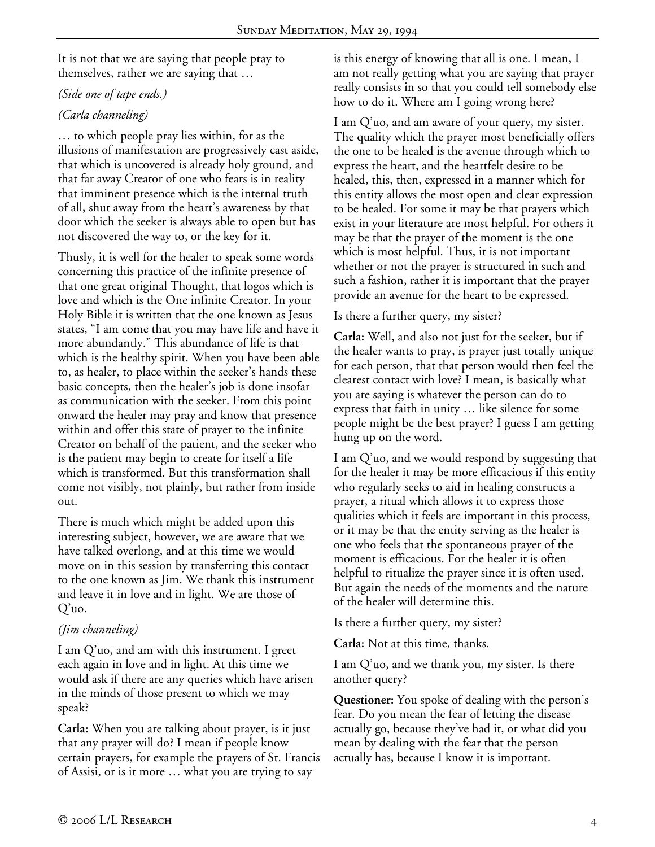It is not that we are saying that people pray to themselves, rather we are saying that …

#### *(Side one of tape ends.)*

# *(Carla channeling)*

… to which people pray lies within, for as the illusions of manifestation are progressively cast aside, that which is uncovered is already holy ground, and that far away Creator of one who fears is in reality that imminent presence which is the internal truth of all, shut away from the heart's awareness by that door which the seeker is always able to open but has not discovered the way to, or the key for it.

Thusly, it is well for the healer to speak some words concerning this practice of the infinite presence of that one great original Thought, that logos which is love and which is the One infinite Creator. In your Holy Bible it is written that the one known as Jesus states, "I am come that you may have life and have it more abundantly." This abundance of life is that which is the healthy spirit. When you have been able to, as healer, to place within the seeker's hands these basic concepts, then the healer's job is done insofar as communication with the seeker. From this point onward the healer may pray and know that presence within and offer this state of prayer to the infinite Creator on behalf of the patient, and the seeker who is the patient may begin to create for itself a life which is transformed. But this transformation shall come not visibly, not plainly, but rather from inside out.

There is much which might be added upon this interesting subject, however, we are aware that we have talked overlong, and at this time we would move on in this session by transferring this contact to the one known as Jim. We thank this instrument and leave it in love and in light. We are those of Q'uo.

# *(Jim channeling)*

I am Q'uo, and am with this instrument. I greet each again in love and in light. At this time we would ask if there are any queries which have arisen in the minds of those present to which we may speak?

**Carla:** When you are talking about prayer, is it just that any prayer will do? I mean if people know certain prayers, for example the prayers of St. Francis of Assisi, or is it more … what you are trying to say

is this energy of knowing that all is one. I mean, I am not really getting what you are saying that prayer really consists in so that you could tell somebody else how to do it. Where am I going wrong here?

I am Q'uo, and am aware of your query, my sister. The quality which the prayer most beneficially offers the one to be healed is the avenue through which to express the heart, and the heartfelt desire to be healed, this, then, expressed in a manner which for this entity allows the most open and clear expression to be healed. For some it may be that prayers which exist in your literature are most helpful. For others it may be that the prayer of the moment is the one which is most helpful. Thus, it is not important whether or not the prayer is structured in such and such a fashion, rather it is important that the prayer provide an avenue for the heart to be expressed.

## Is there a further query, my sister?

**Carla:** Well, and also not just for the seeker, but if the healer wants to pray, is prayer just totally unique for each person, that that person would then feel the clearest contact with love? I mean, is basically what you are saying is whatever the person can do to express that faith in unity … like silence for some people might be the best prayer? I guess I am getting hung up on the word.

I am Q'uo, and we would respond by suggesting that for the healer it may be more efficacious if this entity who regularly seeks to aid in healing constructs a prayer, a ritual which allows it to express those qualities which it feels are important in this process, or it may be that the entity serving as the healer is one who feels that the spontaneous prayer of the moment is efficacious. For the healer it is often helpful to ritualize the prayer since it is often used. But again the needs of the moments and the nature of the healer will determine this.

Is there a further query, my sister?

**Carla:** Not at this time, thanks.

I am Q'uo, and we thank you, my sister. Is there another query?

**Questioner:** You spoke of dealing with the person's fear. Do you mean the fear of letting the disease actually go, because they've had it, or what did you mean by dealing with the fear that the person actually has, because I know it is important.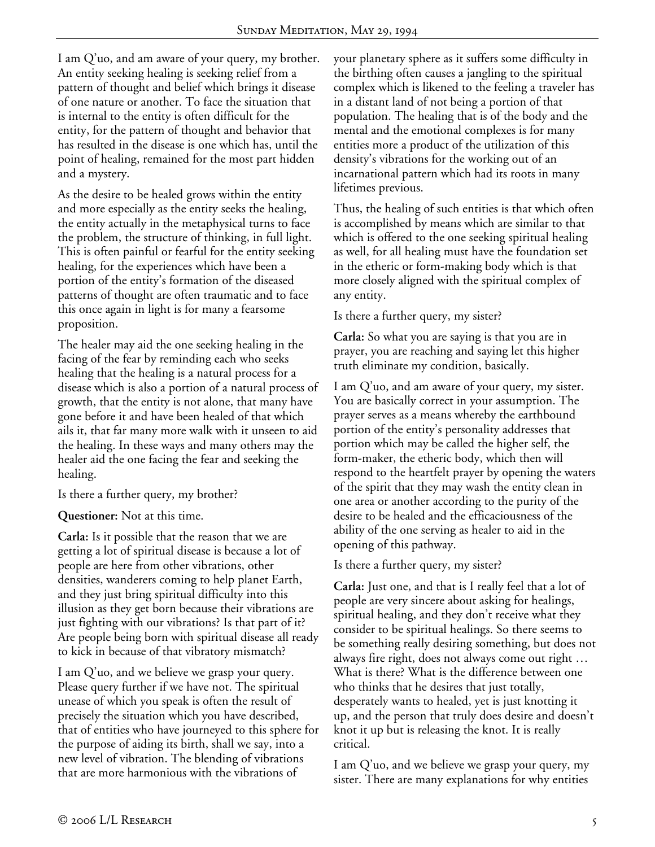I am Q'uo, and am aware of your query, my brother. An entity seeking healing is seeking relief from a pattern of thought and belief which brings it disease of one nature or another. To face the situation that is internal to the entity is often difficult for the entity, for the pattern of thought and behavior that has resulted in the disease is one which has, until the point of healing, remained for the most part hidden and a mystery.

As the desire to be healed grows within the entity and more especially as the entity seeks the healing, the entity actually in the metaphysical turns to face the problem, the structure of thinking, in full light. This is often painful or fearful for the entity seeking healing, for the experiences which have been a portion of the entity's formation of the diseased patterns of thought are often traumatic and to face this once again in light is for many a fearsome proposition.

The healer may aid the one seeking healing in the facing of the fear by reminding each who seeks healing that the healing is a natural process for a disease which is also a portion of a natural process of growth, that the entity is not alone, that many have gone before it and have been healed of that which ails it, that far many more walk with it unseen to aid the healing. In these ways and many others may the healer aid the one facing the fear and seeking the healing.

Is there a further query, my brother?

**Questioner:** Not at this time.

**Carla:** Is it possible that the reason that we are getting a lot of spiritual disease is because a lot of people are here from other vibrations, other densities, wanderers coming to help planet Earth, and they just bring spiritual difficulty into this illusion as they get born because their vibrations are just fighting with our vibrations? Is that part of it? Are people being born with spiritual disease all ready to kick in because of that vibratory mismatch?

I am Q'uo, and we believe we grasp your query. Please query further if we have not. The spiritual unease of which you speak is often the result of precisely the situation which you have described, that of entities who have journeyed to this sphere for the purpose of aiding its birth, shall we say, into a new level of vibration. The blending of vibrations that are more harmonious with the vibrations of

your planetary sphere as it suffers some difficulty in the birthing often causes a jangling to the spiritual complex which is likened to the feeling a traveler has in a distant land of not being a portion of that population. The healing that is of the body and the mental and the emotional complexes is for many entities more a product of the utilization of this density's vibrations for the working out of an incarnational pattern which had its roots in many lifetimes previous.

Thus, the healing of such entities is that which often is accomplished by means which are similar to that which is offered to the one seeking spiritual healing as well, for all healing must have the foundation set in the etheric or form-making body which is that more closely aligned with the spiritual complex of any entity.

Is there a further query, my sister?

**Carla:** So what you are saying is that you are in prayer, you are reaching and saying let this higher truth eliminate my condition, basically.

I am Q'uo, and am aware of your query, my sister. You are basically correct in your assumption. The prayer serves as a means whereby the earthbound portion of the entity's personality addresses that portion which may be called the higher self, the form-maker, the etheric body, which then will respond to the heartfelt prayer by opening the waters of the spirit that they may wash the entity clean in one area or another according to the purity of the desire to be healed and the efficaciousness of the ability of the one serving as healer to aid in the opening of this pathway.

Is there a further query, my sister?

**Carla:** Just one, and that is I really feel that a lot of people are very sincere about asking for healings, spiritual healing, and they don't receive what they consider to be spiritual healings. So there seems to be something really desiring something, but does not always fire right, does not always come out right … What is there? What is the difference between one who thinks that he desires that just totally, desperately wants to healed, yet is just knotting it up, and the person that truly does desire and doesn't knot it up but is releasing the knot. It is really critical.

I am Q'uo, and we believe we grasp your query, my sister. There are many explanations for why entities